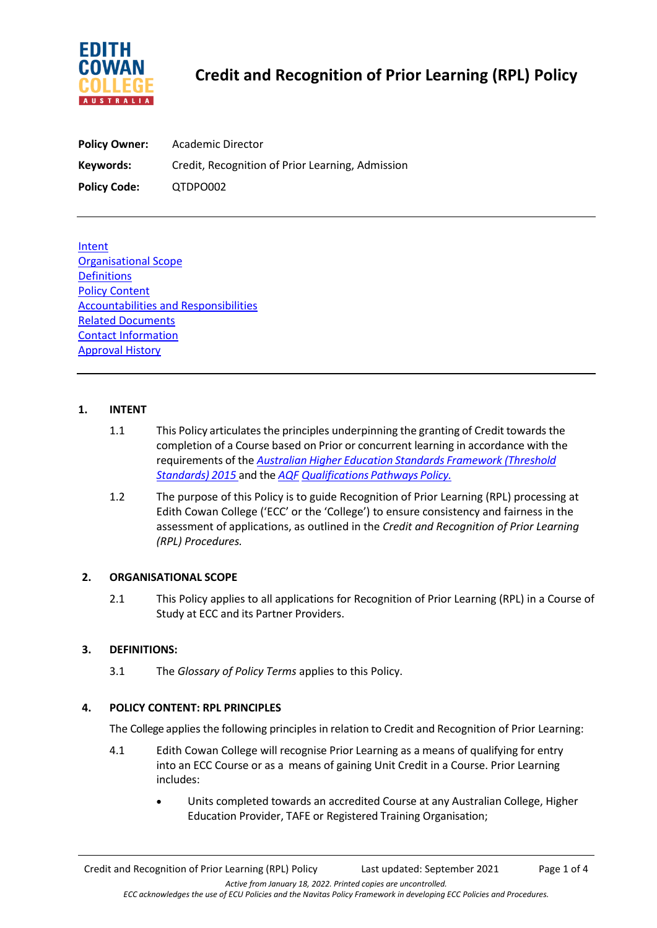

| <b>Policy Owner:</b> | Academic Director                                |
|----------------------|--------------------------------------------------|
| Keywords:            | Credit, Recognition of Prior Learning, Admission |
| <b>Policy Code:</b>  | QTDPO002                                         |

**Intent** Organisational Scope **Definitions Policy Content** Accountabilities and Responsibilities Related Documents Contact Information Approval History

## **1. INTENT**

- 1.1 This Policy articulates the principles underpinning the granting of Credit towards the completion of a Course based on Prior or concurrent learning in accordance with the requirements of the *Australian Higher Education Standards [Framework](https://www.legislation.gov.au/Details/F2015L01639) (Threshold [Standards\)](https://www.legislation.gov.au/Details/F2015L01639) 2015* and the *[AQF](https://www.aqf.edu.au/sites/aqf/files/aqf_pathways_jan2013.pdf) [Qualifications](https://www.aqf.edu.au/sites/aqf/files/aqf_pathways_jan2013.pdf) Pathways Policy.*
- 1.2 The purpose of this Policy is to guide Recognition of Prior Learning (RPL) processing at Edith Cowan College ('ECC' or the 'College') to ensure consistency and fairness in the assessment of applications, as outlined in the *Credit and Recognition of Prior Learning (RPL) Procedures.*

### **2. ORGANISATIONAL SCOPE**

2.1 This Policy applies to all applications for Recognition of Prior Learning (RPL) in a Course of Study at ECC and its Partner Providers.

# **3. DEFINITIONS:**

3.1 The *Glossary of Policy Terms* applies to this Policy.

# **4. POLICY CONTENT: RPL PRINCIPLES**

The College applies the following principles in relation to Credit and Recognition of Prior Learning:

- 4.1 Edith Cowan College will recognise Prior Learning as a means of qualifying for entry into an ECC Course or as a means of gaining Unit Credit in a Course. Prior Learning includes:
	- Units completed towards an accredited Course at any Australian College, Higher Education Provider, TAFE or Registered Training Organisation;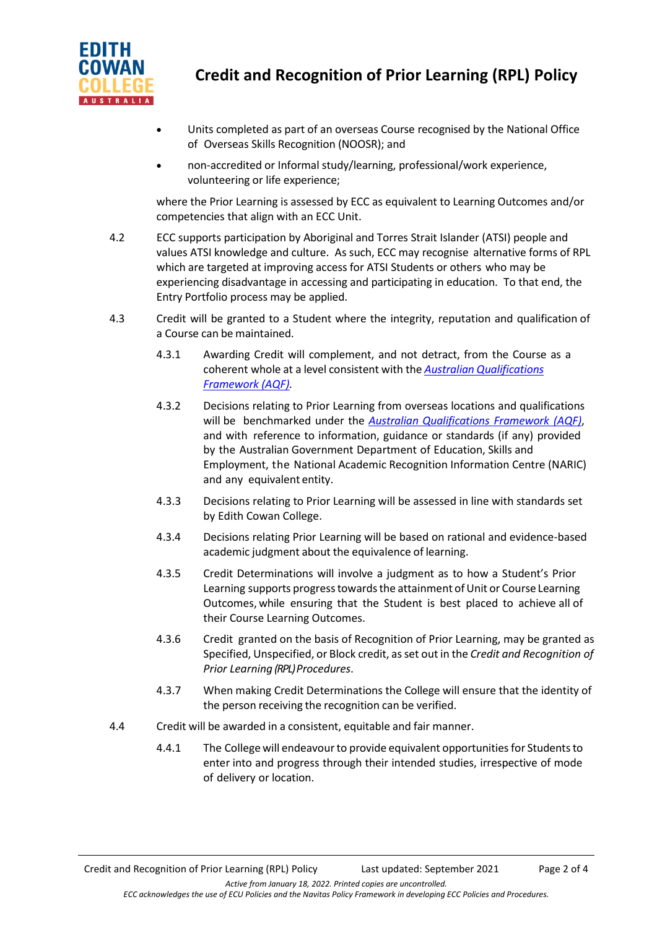

- Units completed as part of an overseas Course recognised by the National Office of Overseas Skills Recognition (NOOSR); and
- non-accredited or Informal study/learning, professional/work experience, volunteering or life experience;

where the Prior Learning is assessed by ECC as equivalent to Learning Outcomes and/or competencies that align with an ECC Unit.

- 4.2 ECC supports participation by Aboriginal and Torres Strait Islander (ATSI) people and values ATSI knowledge and culture. As such, ECC may recognise alternative forms of RPL which are targeted at improving access for ATSI Students or others who may be experiencing disadvantage in accessing and participating in education. To that end, the Entry Portfolio process may be applied.
- 4.3 Credit will be granted to a Student where the integrity, reputation and qualification of a Course can be maintained.
	- 4.3.1 Awarding Credit will complement, and not detract, from the Course as a coherent whole at a level consistent with the *Australian [Qualifications](https://www.aqf.edu.au/) [Framework](https://www.aqf.edu.au/) (AQF).*
	- 4.3.2 Decisions relating to Prior Learning from overseas locations and qualifications will be benchmarked under the *Australian [Qualifications](https://www.aqf.edu.au/) Framework (AQF)*, and with reference to information, guidance or standards (if any) provided by the Australian Government Department of Education, Skills and Employment, the National Academic Recognition Information Centre (NARIC) and any equivalent entity.
	- 4.3.3 Decisions relating to Prior Learning will be assessed in line with standards set by Edith Cowan College.
	- 4.3.4 Decisions relating Prior Learning will be based on rational and evidence-based academic judgment about the equivalence of learning.
	- 4.3.5 Credit Determinations will involve a judgment as to how a Student's Prior Learning supports progress towards the attainment of Unit or Course Learning Outcomes, while ensuring that the Student is best placed to achieve all of their Course Learning Outcomes.
	- 4.3.6 Credit granted on the basis of Recognition of Prior Learning, may be granted as Specified, Unspecified, or Block credit, asset out in the *Credit and Recognition of Prior Learning (RPL) Procedures*.
	- 4.3.7 When making Credit Determinations the College will ensure that the identity of the person receiving the recognition can be verified.
- 4.4 Credit will be awarded in a consistent, equitable and fair manner.
	- 4.4.1 The College will endeavourto provide equivalent opportunitiesfor Studentsto enter into and progress through their intended studies, irrespective of mode of delivery or location.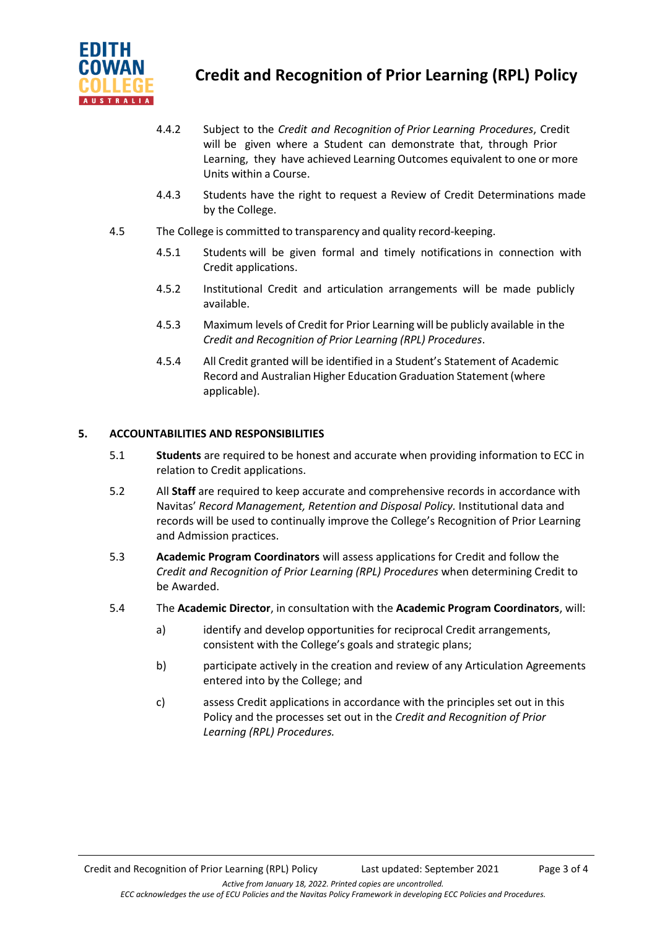

- 4.4.2 Subject to the *Credit and Recognition of Prior Learning Procedures*, Credit will be given where a Student can demonstrate that, through Prior Learning, they have achieved Learning Outcomes equivalent to one or more Units within a Course.
- 4.4.3 Students have the right to request a Review of Credit Determinations made by the College.
- 4.5 The College is committed to transparency and quality record-keeping.
	- 4.5.1 Students will be given formal and timely notifications in connection with Credit applications.
	- 4.5.2 Institutional Credit and articulation arrangements will be made publicly available.
	- 4.5.3 Maximum levels of Credit for Prior Learning will be publicly available in the *Credit and Recognition of Prior Learning (RPL) Procedures*.
	- 4.5.4 All Credit granted will be identified in a Student's Statement of Academic Record and Australian Higher Education Graduation Statement(where applicable).

# **5. ACCOUNTABILITIES AND RESPONSIBILITIES**

- 5.1 **Students** are required to be honest and accurate when providing information to ECC in relation to Credit applications.
- 5.2 All **Staff** are required to keep accurate and comprehensive records in accordance with Navitas' *Record Management, Retention and Disposal Policy.* Institutional data and records will be used to continually improve the College's Recognition of Prior Learning and Admission practices.
- 5.3 **Academic Program Coordinators** will assess applications for Credit and follow the *Credit and Recognition of Prior Learning (RPL) Procedures* when determining Credit to be Awarded.
- 5.4 The **Academic Director**, in consultation with the **Academic Program Coordinators**, will:
	- a) identify and develop opportunities for reciprocal Credit arrangements, consistent with the College's goals and strategic plans;
	- b) participate actively in the creation and review of any Articulation Agreements entered into by the College; and
	- c) assess Credit applications in accordance with the principles set out in this Policy and the processes set out in the *Credit and Recognition of Prior Learning (RPL) Procedures.*